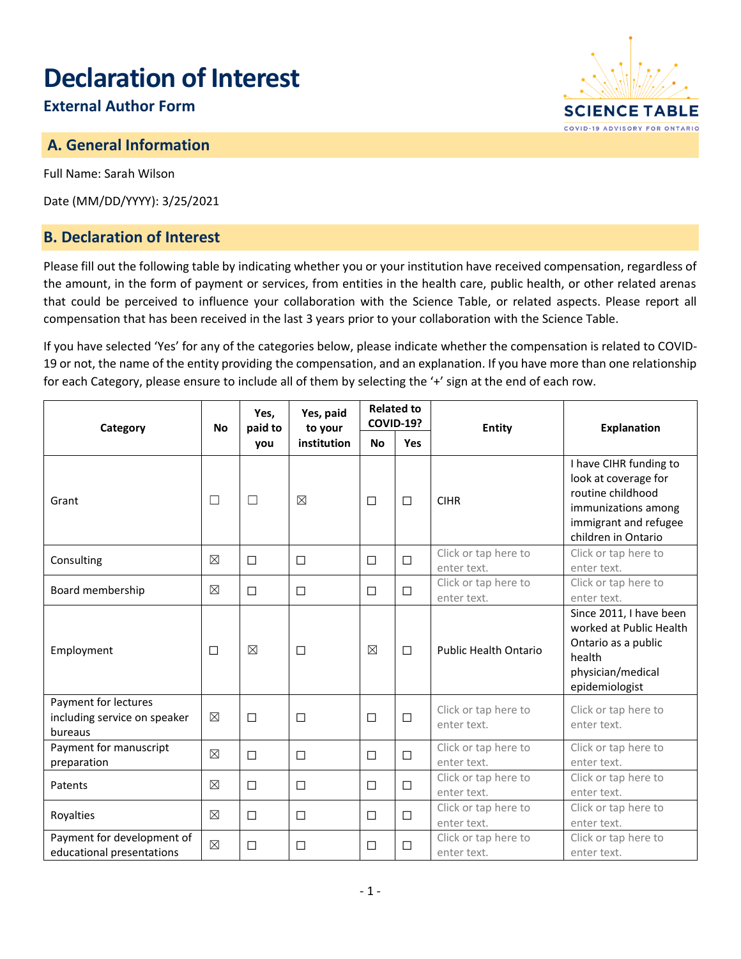# **Declaration of Interest**

# **External Author Form**

## **A. General Information**

Full Name: Sarah Wilson

Date (MM/DD/YYYY): 3/25/2021

#### **B. Declaration of Interest**

Please fill out the following table by indicating whether you or your institution have received compensation, regardless of the amount, in the form of payment or services, from entities in the health care, public health, or other related arenas that could be perceived to influence your collaboration with the Science Table, or related aspects. Please report all compensation that has been received in the last 3 years prior to your collaboration with the Science Table.

If you have selected 'Yes' for any of the categories below, please indicate whether the compensation is related to COVID-19 or not, the name of the entity providing the compensation, and an explanation. If you have more than one relationship for each Category, please ensure to include all of them by selecting the '+' sign at the end of each row.

| Category                                                        | <b>No</b>   | Yes,<br>paid to<br>you | Yes, paid<br>to your<br>institution | <b>Related to</b><br><b>COVID-19?</b> |        | <b>Entity</b>                       | <b>Explanation</b>                                                                                                                         |
|-----------------------------------------------------------------|-------------|------------------------|-------------------------------------|---------------------------------------|--------|-------------------------------------|--------------------------------------------------------------------------------------------------------------------------------------------|
|                                                                 |             |                        |                                     | <b>No</b>                             | Yes    |                                     |                                                                                                                                            |
| Grant                                                           | $\Box$      | $\Box$                 | $\boxtimes$                         | $\Box$                                | $\Box$ | <b>CIHR</b>                         | I have CIHR funding to<br>look at coverage for<br>routine childhood<br>immunizations among<br>immigrant and refugee<br>children in Ontario |
| Consulting                                                      | $\boxtimes$ | $\Box$                 | $\Box$                              | $\Box$                                | □      | Click or tap here to<br>enter text. | Click or tap here to<br>enter text.                                                                                                        |
| Board membership                                                | $\boxtimes$ | $\Box$                 | $\Box$                              | $\Box$                                | $\Box$ | Click or tap here to<br>enter text. | Click or tap here to<br>enter text.                                                                                                        |
| Employment                                                      | $\Box$      | $\boxtimes$            | $\Box$                              | $\boxtimes$                           | $\Box$ | <b>Public Health Ontario</b>        | Since 2011, I have been<br>worked at Public Health<br>Ontario as a public<br>health<br>physician/medical<br>epidemiologist                 |
| Payment for lectures<br>including service on speaker<br>bureaus | $\boxtimes$ | $\Box$                 | $\Box$                              | $\Box$                                | $\Box$ | Click or tap here to<br>enter text. | Click or tap here to<br>enter text.                                                                                                        |
| Payment for manuscript<br>preparation                           | $\boxtimes$ | $\Box$                 | $\Box$                              | $\Box$                                | $\Box$ | Click or tap here to<br>enter text. | Click or tap here to<br>enter text.                                                                                                        |
| Patents                                                         | $\boxtimes$ | $\Box$                 | $\Box$                              | □                                     | $\Box$ | Click or tap here to<br>enter text. | Click or tap here to<br>enter text.                                                                                                        |
| Royalties                                                       | $\boxtimes$ | $\Box$                 | $\Box$                              | $\Box$                                | $\Box$ | Click or tap here to<br>enter text. | Click or tap here to<br>enter text.                                                                                                        |
| Payment for development of<br>educational presentations         | $\boxtimes$ | $\Box$                 | □                                   | $\Box$                                | $\Box$ | Click or tap here to<br>enter text. | Click or tap here to<br>enter text.                                                                                                        |

**SCIENCE TABLE** COVID-19 ADVISORY FOR ONTARIO